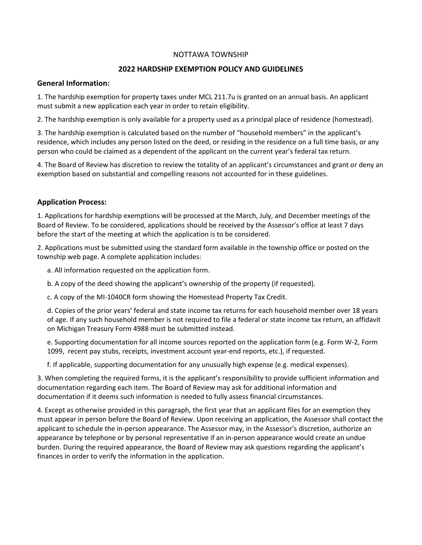## NOTTAWA TOWNSHIP

#### **2022 HARDSHIP EXEMPTION POLICY AND GUIDELINES**

## **General Information:**

1. The hardship exemption for property taxes under MCL 211.7u is granted on an annual basis. An applicant must submit a new application each year in order to retain eligibility.

2. The hardship exemption is only available for a property used as a principal place of residence (homestead).

3. The hardship exemption is calculated based on the number of "household members" in the applicant's residence, which includes any person listed on the deed, or residing in the residence on a full time basis, or any person who could be claimed as a dependent of the applicant on the current year's federal tax return.

4. The Board of Review has discretion to review the totality of an applicant's circumstances and grant or deny an exemption based on substantial and compelling reasons not accounted for in these guidelines.

#### **Application Process:**

1. Applications for hardship exemptions will be processed at the March, July, and December meetings of the Board of Review. To be considered, applications should be received by the Assessor's office at least 7 days before the start of the meeting at which the application is to be considered.

2. Applications must be submitted using the standard form available in the township office or posted on the township web page. A complete application includes:

a. All information requested on the application form.

b. A copy of the deed showing the applicant's ownership of the property (if requested).

c. A copy of the MI-1040CR form showing the Homestead Property Tax Credit.

d. Copies of the prior years' federal and state income tax returns for each household member over 18 years of age. If any such household member is not required to file a federal or state income tax return, an affidavit on Michigan Treasury Form 4988 must be submitted instead.

e. Supporting documentation for all income sources reported on the application form (e.g. Form W-2, Form 1099, recent pay stubs, receipts, investment account year-end reports, etc.), if requested.

f. If applicable, supporting documentation for any unusually high expense (e.g. medical expenses).

3. When completing the required forms, it is the applicant's responsibility to provide sufficient information and documentation regarding each item. The Board of Review may ask for additional information and documentation if it deems such information is needed to fully assess financial circumstances.

4. Except as otherwise provided in this paragraph, the first year that an applicant files for an exemption they must appear in person before the Board of Review. Upon receiving an application, the Assessor shall contact the applicant to schedule the in-person appearance. The Assessor may, in the Assessor's discretion, authorize an appearance by telephone or by personal representative if an in-person appearance would create an undue burden. During the required appearance, the Board of Review may ask questions regarding the applicant's finances in order to verify the information in the application.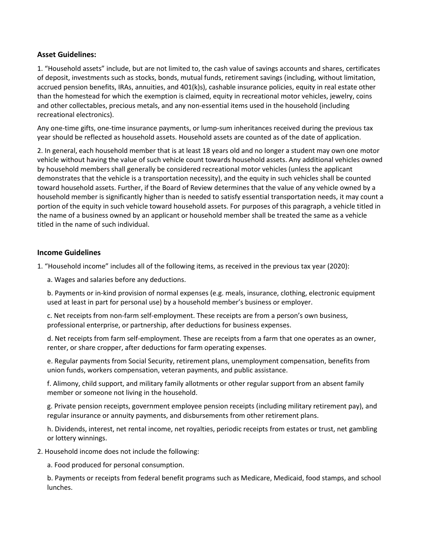# **Asset Guidelines:**

1. "Household assets" include, but are not limited to, the cash value of savings accounts and shares, certificates of deposit, investments such as stocks, bonds, mutual funds, retirement savings (including, without limitation, accrued pension benefits, IRAs, annuities, and 401(k)s), cashable insurance policies, equity in real estate other than the homestead for which the exemption is claimed, equity in recreational motor vehicles, jewelry, coins and other collectables, precious metals, and any non-essential items used in the household (including recreational electronics).

Any one-time gifts, one-time insurance payments, or lump-sum inheritances received during the previous tax year should be reflected as household assets. Household assets are counted as of the date of application.

2. In general, each household member that is at least 18 years old and no longer a student may own one motor vehicle without having the value of such vehicle count towards household assets. Any additional vehicles owned by household members shall generally be considered recreational motor vehicles (unless the applicant demonstrates that the vehicle is a transportation necessity), and the equity in such vehicles shall be counted toward household assets. Further, if the Board of Review determines that the value of any vehicle owned by a household member is significantly higher than is needed to satisfy essential transportation needs, it may count a portion of the equity in such vehicle toward household assets. For purposes of this paragraph, a vehicle titled in the name of a business owned by an applicant or household member shall be treated the same as a vehicle titled in the name of such individual.

# **Income Guidelines**

1. "Household income" includes all of the following items, as received in the previous tax year (2020):

a. Wages and salaries before any deductions.

b. Payments or in-kind provision of normal expenses (e.g. meals, insurance, clothing, electronic equipment used at least in part for personal use) by a household member's business or employer.

c. Net receipts from non-farm self-employment. These receipts are from a person's own business, professional enterprise, or partnership, after deductions for business expenses.

d. Net receipts from farm self-employment. These are receipts from a farm that one operates as an owner, renter, or share cropper, after deductions for farm operating expenses.

e. Regular payments from Social Security, retirement plans, unemployment compensation, benefits from union funds, workers compensation, veteran payments, and public assistance.

f. Alimony, child support, and military family allotments or other regular support from an absent family member or someone not living in the household.

g. Private pension receipts, government employee pension receipts (including military retirement pay), and regular insurance or annuity payments, and disbursements from other retirement plans.

h. Dividends, interest, net rental income, net royalties, periodic receipts from estates or trust, net gambling or lottery winnings.

2. Household income does not include the following:

a. Food produced for personal consumption.

b. Payments or receipts from federal benefit programs such as Medicare, Medicaid, food stamps, and school lunches.